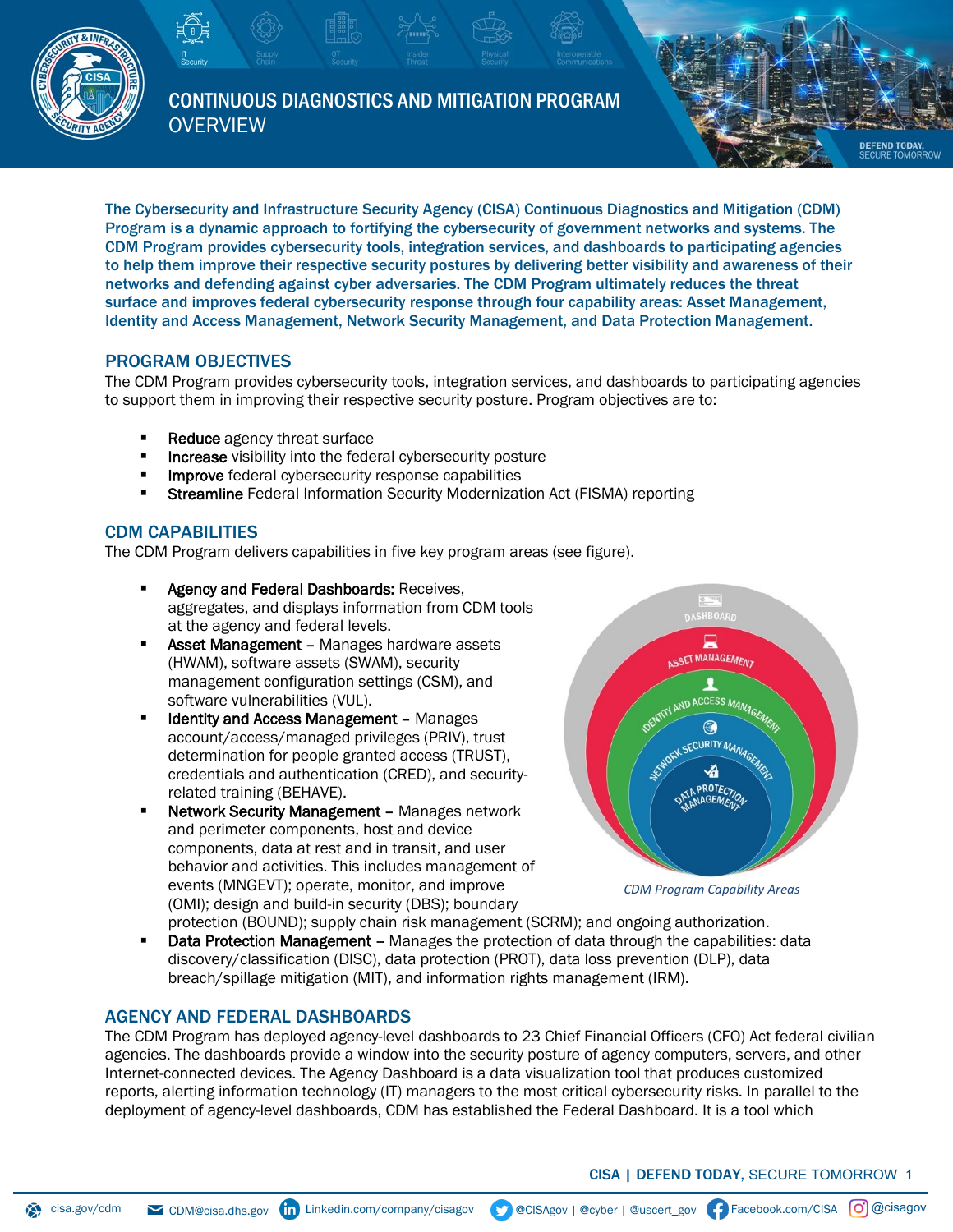

CONTINUOUS DIAGNOSTICS AND MITIGATION PROGRAM **OVERVIEW** 

The Cybersecurity and Infrastructure Security Agency (CISA) Continuous Diagnostics and Mitigation (CDM) Program is a dynamic approach to fortifying the cybersecurity of government networks and systems. The CDM Program provides cybersecurity tools, integration services, and dashboards to participating agencies to help them improve their respective security postures by delivering better visibility and awareness of their networks and defending against cyber adversaries. The CDM Program ultimately reduces the threat surface and improves federal cybersecurity response through four capability areas: Asset Management, Identity and Access Management, Network Security Management, and Data Protection Management.

# PROGRAM OBJECTIVES

The CDM Program provides cybersecurity tools, integration services, and dashboards to participating agencies to support them in improving their respective security posture. Program objectives are to:

- Reduce agency threat surface
- **Increase** visibility into the federal cybersecurity posture
- **Improve** federal cybersecurity response capabilities
- **Streamline** Federal Information Security Modernization Act (FISMA) reporting

# CDM CAPABILITIES

The CDM Program delivers capabilities in five key program areas (see figure).

- Agency and Federal Dashboards: Receives, aggregates, and displays information from CDM tools at the agency and federal levels.
- **Asset Management Manages hardware assets** (HWAM), software assets (SWAM), security management configuration settings (CSM), and software vulnerabilities (VUL).
- Identity and Access Management Manages account/access/managed privileges (PRIV), trust determination for people granted access (TRUST), credentials and authentication (CRED), and securityrelated training (BEHAVE).
- Network Security Management Manages network and perimeter components, host and device components, data at rest and in transit, and user behavior and activities. This includes management of events (MNGEVT); operate, monitor, and improve (OMI); design and build-in security (DBS); boundary



 $\mathbb{R}$ 

**DEFEND TODAY** 

*CDM Program Capability Areas*

protection (BOUND); supply chain risk management (SCRM); and ongoing authorization. Data Protection Management - Manages the protection of data through the capabilities: data discovery/classification (DISC), data protection (PROT), data loss prevention (DLP), data breach/spillage mitigation (MIT), and information rights management (IRM).

# AGENCY AND FEDERAL DASHBOARDS

The CDM Program has deployed agency-level dashboards to 23 Chief Financial Officers (CFO) Act federal civilian agencies. The dashboards provide a window into the security posture of agency computers, servers, and other Internet-connected devices. The Agency Dashboard is a data visualization tool that produces customized reports, alerting information technology (IT) managers to the most critical cybersecurity risks. In parallel to the deployment of agency-level dashboards, CDM has established the Federal Dashboard. It is a tool which

CISA | DEFEND TODAY, SECURE TOMORROW 1

[cisa.gov/](http://www.cisa.gov/)cdm 
CDM@cisa.dhs.gov **(in** Linkedin.com/company/cisagov 
SCOSAgov | @cyber | @uscert\_gov (F) Facebook.com/CISA (O) @cisagov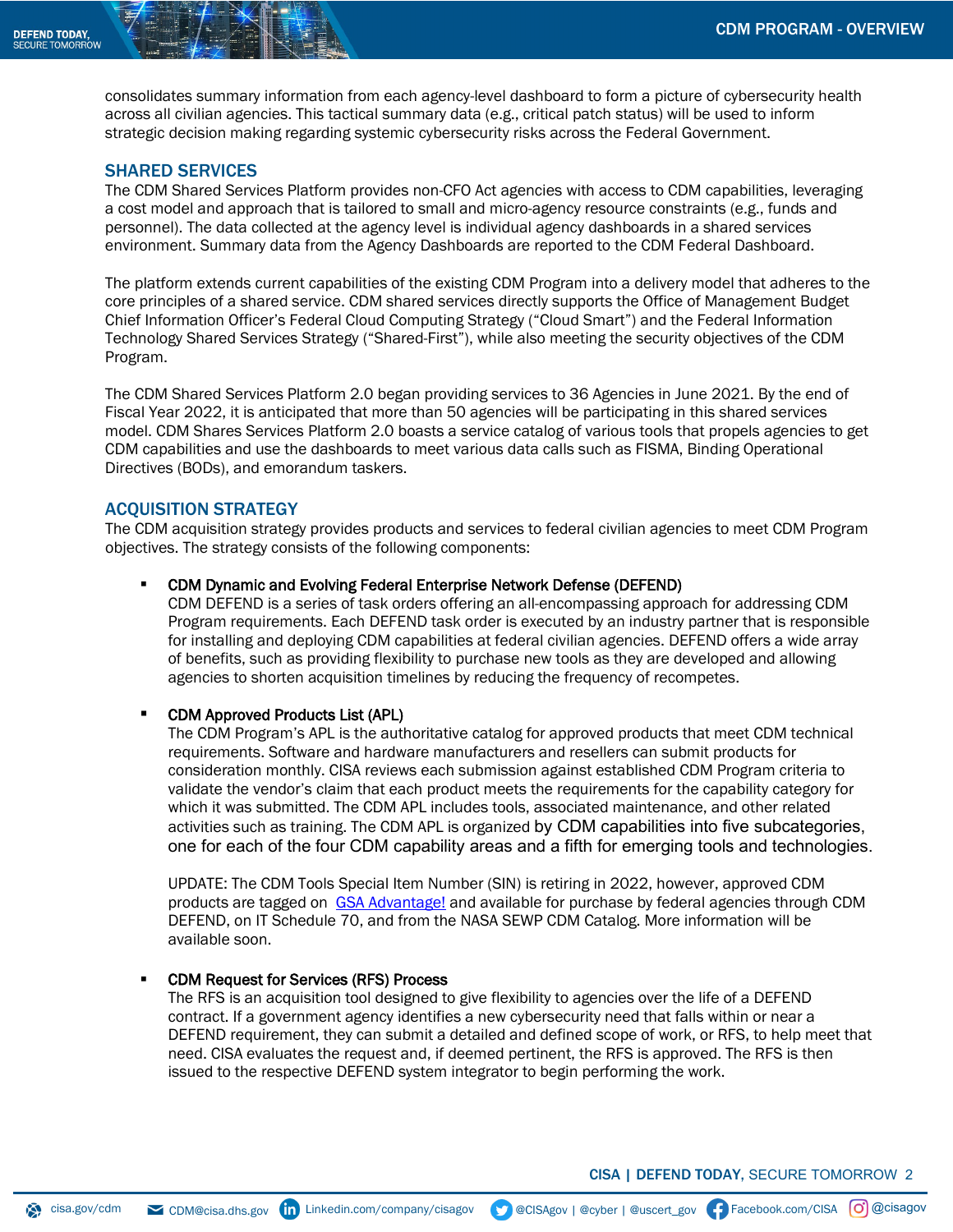consolidates summary information from each agency-level dashboard to form a picture of cybersecurity health across all civilian agencies. This tactical summary data (e.g., critical patch status) will be used to inform strategic decision making regarding systemic cybersecurity risks across the Federal Government.

## SHARED SERVICES

The CDM Shared Services Platform provides non-CFO Act agencies with access to CDM capabilities, leveraging a cost model and approach that is tailored to small and micro-agency resource constraints (e.g., funds and personnel). The data collected at the agency level is individual agency dashboards in a shared services environment. Summary data from the Agency Dashboards are reported to the CDM Federal Dashboard.

The platform extends current capabilities of the existing CDM Program into a delivery model that adheres to the core principles of a shared service. CDM shared services directly supports the Office of Management Budget Chief Information Officer's Federal Cloud Computing Strategy ("Cloud Smart") and the Federal Information Technology Shared Services Strategy ("Shared-First"), while also meeting the security objectives of the CDM Program.

The CDM Shared Services Platform 2.0 began providing services to 36 Agencies in June 2021. By the end of Fiscal Year 2022, it is anticipated that more than 50 agencies will be participating in this shared services model. CDM Shares Services Platform 2.0 boasts a service catalog of various tools that propels agencies to get CDM capabilities and use the dashboards to meet various data calls such as FISMA, Binding Operational Directives (BODs), and emorandum taskers.

#### ACQUISITION STRATEGY

The CDM acquisition strategy provides products and services to federal civilian agencies to meet CDM Program objectives. The strategy consists of the following components:

#### CDM Dynamic and Evolving Federal Enterprise Network Defense (DEFEND)

CDM DEFEND is a series of task orders offering an all-encompassing approach for addressing CDM Program requirements. Each DEFEND task order is executed by an industry partner that is responsible for installing and deploying CDM capabilities at federal civilian agencies. DEFEND offers a wide array of benefits, such as providing flexibility to purchase new tools as they are developed and allowing agencies to shorten acquisition timelines by reducing the frequency of recompetes.

#### CDM Approved Products List (APL)

The CDM Program's APL is the authoritative catalog for approved products that meet CDM technical requirements. Software and hardware manufacturers and resellers can submit products for consideration monthly. CISA reviews each submission against established CDM Program criteria to validate the vendor's claim that each product meets the requirements for the capability category for which it was submitted. The CDM APL includes tools, associated maintenance, and other related activities such as training. The CDM APL is organized by CDM capabilities into five subcategories, one for each of the four CDM capability areas and a fifth for emerging tools and technologies.

UPDATE: The CDM Tools Special Item Number (SIN) is retiring in 2022, however, approved CDM products are tagged on [GSA Advantage!](https://www.gsaadvantage.gov/advantage/ws/search/advantage_search?q=0:0CDM&q=3:5CD&db=0) and available for purchase by federal agencies through CDM DEFEND, on IT Schedule 70, and from the NASA SEWP CDM Catalog. More information will be available soon.

#### CDM Request for Services (RFS) Process

The RFS is an acquisition tool designed to give flexibility to agencies over the life of a DEFEND contract. If a government agency identifies a new cybersecurity need that falls within or near a DEFEND requirement, they can submit a detailed and defined scope of work, or RFS, to help meet that need. CISA evaluates the request and, if deemed pertinent, the RFS is approved. The RFS is then issued to the respective DEFEND system integrator to begin performing the work.

CISA | DEFEND TODAY, SECURE TOMORROW 2

[cisa.gov/](http://www.cisa.gov/)cdm 
CDM@cisa.dhs.gov **(in** Linkedin.com/company/cisagov 
SCOSAgov | @cyber | @uscert\_gov (F) Facebook.com/CISA (O) @cisagov